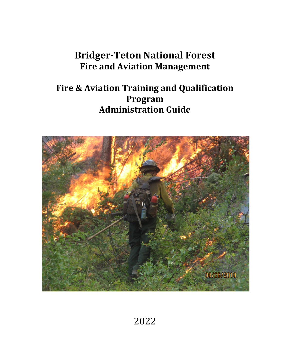# **Bridger-Teton National Forest Fire and Aviation Management**

# **Fire & Aviation Training and Qualification Program Administration Guide**



2022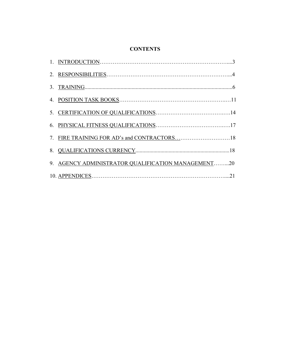# **CONTENTS**

| 7. FIRE TRAINING FOR AD's and CONTRACTORS18        |
|----------------------------------------------------|
|                                                    |
| 9. AGENCY ADMINISTRATOR QUALIFICATION MANAGEMENT20 |
|                                                    |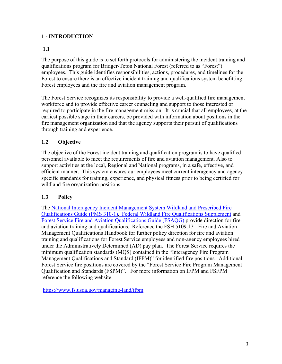#### **1 - INTRODUCTION**

#### **1.1**

The purpose of this guide is to set forth protocols for administering the incident training and qualifications program for Bridger-Teton National Forest (referred to as "Forest") employees. This guide identifies responsibilities, actions, procedures, and timelines for the Forest to ensure there is an effective incident training and qualifications system benefitting Forest employees and the fire and aviation management program.

The Forest Service recognizes its responsibility to provide a well-qualified fire management workforce and to provide effective career counseling and support to those interested or required to participate in the fire management mission. It is crucial that all employees, at the earliest possible stage in their careers, be provided with information about positions in the fire management organization and that the agency supports their pursuit of qualifications through training and experience.

#### **1.2 Objective**

The objective of the Forest incident training and qualification program is to have qualified personnel available to meet the requirements of fire and aviation management. Also to support activities at the local, Regional and National programs, in a safe, effective, and efficient manner. This system ensures our employees meet current interagency and agency specific standards for training, experience, and physical fitness prior to being certified for wildland fire organization positions.

#### **1.3 Policy**

The [National Interagency Incident Management System Wildland and Prescribed Fire](https://www.nwcg.gov/publications/pms310-1)  [Qualifications Guide \(PMS 310-1\),](https://www.nwcg.gov/publications/pms310-1) [Federal Wildland Fire Qualifications Supplement](https://iqcsweb.nwcg.gov/sites/default/files/documents/FedSupplement_2022.pdf) and [Forest Service Fire and Aviation Qualifications Guide \(FSAQG\)](https://www.fs.usda.gov/managing-land/fire/publications) provide direction for fire and aviation training and qualifications. Reference the FSH 5109.17 - Fire and Aviation Management Qualifications Handbook for further policy direction for fire and aviation training and qualifications for Forest Service employees and non-agency employees hired under the Administratively Determined (AD) pay plan. The Forest Service requires the minimum qualification standards (MQS) contained in the "Interagency Fire Program Management Qualifications and Standard (IFPM)" for identified fire positions. Additional Forest Service fire positions are covered by the "Forest Service Fire Program Management Qualification and Standards (FSPM)". For more information on IFPM and FSFPM reference the following website:

<https://www.fs.usda.gov/managing-land/ifpm>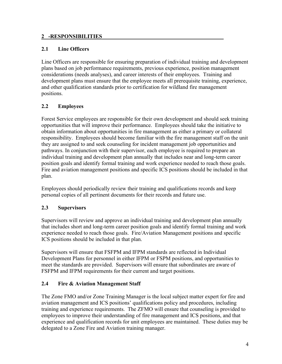#### **2 -RESPONSIBILITIES**

# **2.1 Line Officers**

Line Officers are responsible for ensuring preparation of individual training and development plans based on job performance requirements, previous experience, position management considerations (needs analyses), and career interests of their employees. Training and development plans must ensure that the employee meets all prerequisite training, experience, and other qualification standards prior to certification for wildland fire management positions.

# **2.2 Employees**

Forest Service employees are responsible for their own development and should seek training opportunities that will improve their performance. Employees should take the initiative to obtain information about opportunities in fire management as either a primary or collateral responsibility. Employees should become familiar with the fire management staff on the unit they are assigned to and seek counseling for incident management job opportunities and pathways. In conjunction with their supervisor, each employee is required to prepare an individual training and development plan annually that includes near and long-term career position goals and identify formal training and work experience needed to reach those goals. Fire and aviation management positions and specific ICS positions should be included in that plan.

Employees should periodically review their training and qualifications records and keep personal copies of all pertinent documents for their records and future use.

# **2.3 Supervisors**

Supervisors will review and approve an individual training and development plan annually that includes short and long-term career position goals and identify formal training and work experience needed to reach those goals. Fire/Aviation Management positions and specific ICS positions should be included in that plan.

Supervisors will ensure that FSFPM and IFPM standards are reflected in Individual Development Plans for personnel in either IFPM or FSPM positions, and opportunities to meet the standards are provided. Supervisors will ensure that subordinates are aware of FSFPM and IFPM requirements for their current and target positions.

# **2.4 Fire & Aviation Management Staff**

The Zone FMO and/or Zone Training Manager is the local subject matter expert for fire and aviation management and ICS positions' qualifications policy and procedures, including training and experience requirements. The ZFMO will ensure that counseling is provided to employees to improve their understanding of fire management and ICS positions, and that experience and qualification records for unit employees are maintained. These duties may be delegated to a Zone Fire and Aviation training manager.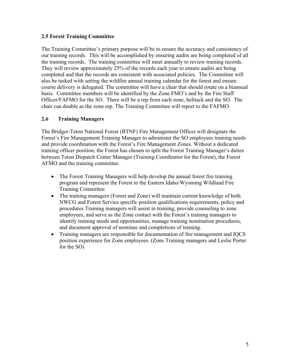#### **2.5 Forest Training Committee**

The Training Committee's primary purpose will be to ensure the accuracy and consistency of our training records. This will be accomplished by ensuring audits are being completed of all the training records. The training committee will meet annually to review training records. They will review approximately 25% of the records each year to ensure audits are being completed and that the records are consistent with associated policies. The Committee will also be tasked with setting the wildfire annual training calendar for the forest and ensure course delivery is delegated. The committee will have a chair that should rotate on a biannual basis. Committee members will be identified by the Zone FMO's and by the Fire Staff Officer/FAFMO for the SO. There will be a rep from each zone, helitack and the SO. The chair can double as the zone rep. The Training Committee will report to the FAFMO.

#### **2.6 Training Managers**

The Bridger-Teton National Forest (BTNF) Fire Management Officer will designate the Forest's Fire Management Training Manager to administer the SO employees training needs and provide coordination with the Forest's Fire Management Zones. Without a dedicated training officer position, the Forest has chosen to split the Forest Training Manager's duties between Teton Dispatch Center Manager (Training Coordinator for the Forest), the Forest AFMO and the training committee.

- The Forest Training Managers will help develop the annual forest fire training program and represent the Forest to the Eastern Idaho/Wyoming Wildland Fire Training Committee.
- The training managers (Forest and Zone) will maintain current knowledge of both NWCG and Forest Service specific position qualifications requirements, policy and procedures Training managers will assist in training, provide counseling to zone employees, and serve as the Zone contact with the Forest's training managers to identify training needs and opportunities, manage training nomination procedures, and document approval of nominee and completions of training.
- Training managers are responsible for documentation of fire management and IQCS position experience for Zone employees. (Zone Training managers and Leslie Porter for the SO)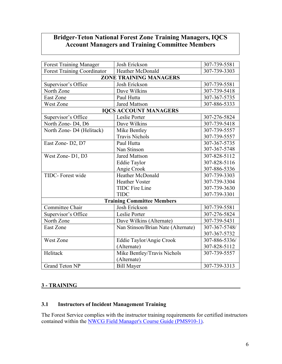# **Bridger-Teton National Forest Zone Training Managers, IQCS Account Managers and Training Committee Members**

| <b>Forest Training Manager</b>     | Josh Erickson                      | 307-739-5581  |
|------------------------------------|------------------------------------|---------------|
| <b>Forest Training Coordinator</b> | <b>Heather McDonald</b>            | 307-739-3303  |
|                                    | <b>ZONE TRAINING MANAGERS</b>      |               |
| Supervisor's Office                | Josh Erickson                      | 307-739-5581  |
| North Zone                         | Dave Wilkins                       | 307-739-5418  |
| <b>East Zone</b>                   | Paul Hutta                         | 307-367-5735  |
| West Zone                          | <b>Jared Mattson</b>               | 307-886-5333  |
|                                    | <b>IQCS ACCOUNT MANAGERS</b>       |               |
| Supervisor's Office                | Leslie Porter                      | 307-276-5824  |
| North Zone-D4, D6                  | Dave Wilkins                       | 307-739-5418  |
| North Zone- D4 (Helitack)          | Mike Bentley                       | 307-739-5557  |
|                                    | <b>Travis Nichols</b>              | 307-739-5557  |
| East Zone-D2, D7                   | Paul Hutta                         | 307-367-5735  |
|                                    | Nan Stinson                        | 307-367-5748  |
| West Zone-D1, D3                   | <b>Jared Mattson</b>               | 307-828-5112  |
|                                    | <b>Eddie Taylor</b>                | 307-828-5116  |
|                                    | Angie Crook                        | 307-886-5336  |
| TIDC- Forest wide                  | Heather McDonald                   | 307-739-3303  |
|                                    | <b>Heather Voster</b>              | 307-739-3304  |
|                                    | <b>TIDC</b> Fire Line              | 307-739-3630  |
|                                    | <b>TIDC</b>                        | 307-739-3301  |
|                                    | <b>Training Committee Members</b>  |               |
| Committee Chair                    | Josh Erickson                      | 307-739-5581  |
| Supervisor's Office                | Leslie Porter                      | 307-276-5824  |
| North Zone                         | Dave Wilkins (Alternate)           | 307-739-5431  |
| <b>East Zone</b>                   | Nan Stinson/Brian Nate (Alternate) | 307-367-5748/ |
|                                    |                                    | 307-367-5732  |
| West Zone                          | Eddie Taylor/Angie Crook           | 307-886-5336/ |
|                                    | (Alternate)                        | 307-828-5112  |
| Helitack                           | Mike Bentley/Travis Nichols        | 307-739-5557  |
|                                    | (Alternate)                        |               |
| <b>Grand Teton NP</b>              | <b>Bill Mayer</b>                  | 307-739-3313  |

# **3 - TRAINING**

# **3.1 Instructors of Incident Management Training**

The Forest Service complies with the instructor training requirements for certified instructors contained within the [NWCG Field Manager's Course Guide](https://www.nwcg.gov/publications/pms901-1) (PMS910-1).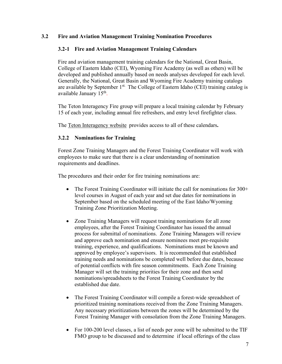#### **3.2 Fire and Aviation Management Training Nomination Procedures**

#### **3.2-1 Fire and Aviation Management Training Calendars**

Fire and aviation management training calendars for the National, Great Basin, College of Eastern Idaho (CEI), Wyoming Fire Academy (as well as others) will be developed and published annually based on needs analyses developed for each level. Generally, the National, Great Basin and Wyoming Fire Academy training catalogs are available by September  $1<sup>st</sup>$ . The College of Eastern Idaho (CEI) training catalog is available January  $15<sup>th</sup>$ .

The Teton Interagency Fire group will prepare a local training calendar by February 15 of each year, including annual fire refreshers, and entry level firefighter class.

The [Teton Interagency website](http://gacc.nifc.gov/gbcc/dispatch/wy-tdc) provides access to all of these calendars**.** 

#### **3.2.2 Nominations for Training**

Forest Zone Training Managers and the Forest Training Coordinator will work with employees to make sure that there is a clear understanding of nomination requirements and deadlines.

The procedures and their order for fire training nominations are:

- The Forest Training Coordinator will initiate the call for nominations for 300+ level courses in August of each year and set due dates for nominations in September based on the scheduled meeting of the East Idaho/Wyoming Training Zone Prioritization Meeting.
- Zone Training Managers will request training nominations for all zone employees, after the Forest Training Coordinator has issued the annual process for submittal of nominations. Zone Training Managers will review and approve each nomination and ensure nominees meet pre-requisite training, experience, and qualifications. Nominations must be known and approved by employee's supervisors. It is recommended that established training needs and nominations be completed well before due dates, because of potential conflicts with fire season commitments. Each Zone Training Manager will set the training priorities for their zone and then send nominations/spreadsheets to the Forest Training Coordinator by the established due date.
- The Forest Training Coordinator will compile a forest-wide spreadsheet of prioritized training nominations received from the Zone Training Managers. Any necessary prioritizations between the zones will be determined by the Forest Training Manager with consolation from the Zone Training Managers.
- For 100-200 level classes, a list of needs per zone will be submitted to the TIF FMO group to be discussed and to determine if local offerings of the class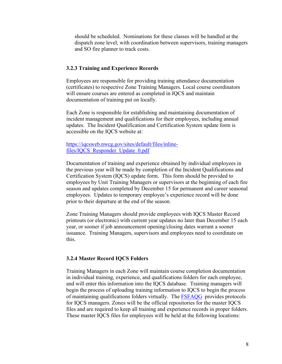should be scheduled. Nominations for these classes will be handled at the dispatch zone level, with coordination between supervisors, training managers and SO fire planner to track costs.

#### **3.2.3 Training and Experience Records**

Employees are responsible for providing training attendance documentation (certificates) to respective Zone Training Managers. Local course coordinators will ensure courses are entered as completed in IQCS and maintain documentation of training put on locally.

Each Zone is responsible for establishing and maintaining documentation of incident management and qualifications for their employees, including annual updates. The Incident Qualification and Certification System update form is accessible on the IQCS website at:

#### [https://iqcsweb.nwcg.gov/sites/default/files/inline](https://iqcsweb.nwcg.gov/sites/default/files/inline-files/IQCS_Responder_Update_0.pdf)[files/IQCS\\_Responder\\_Update\\_0.pdf](https://iqcsweb.nwcg.gov/sites/default/files/inline-files/IQCS_Responder_Update_0.pdf)

Documentation of training and experience obtained by individual employees in the previous year will be made by completion of the Incident Qualifications and Certification System (IQCS) update form. This form should be provided to employees by Unit Training Managers or supervisors at the beginning of each fire season and updates completed by December 15 for permanent and career seasonal employees. Updates to temporary employee's experience record will be done prior to their departure at the end of the season.

Zone Training Managers should provide employees with IQCS Master Record printouts (or electronic) with current year updates no later than December 15 each year, or sooner if job announcement opening/closing dates warrant a sooner issuance. Training Managers, supervisors and employees need to coordinate on this.

#### **3.2.4 Master Record IQCS Folders**

Training Managers in each Zone will maintain course completion documentation in individual training, experience, and qualifications folders for each employee, and will enter this information into the IQCS database. Training managers will begin the process of uploading training information to IQCS to begin the process of maintaining qualifications folders virtually. The [FSFAQG](https://www.fs.usda.gov/managing-land/fire/publications) provides protocols for IQCS managers. Zones will be the official repositories for the master IQCS files and are required to keep all training and experience records in proper folders. These master IQCS files for employees will be held at the following locations: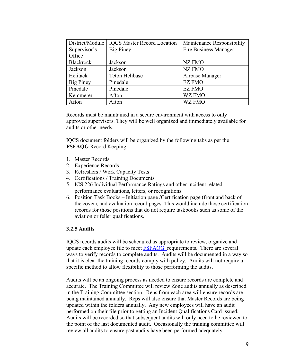| District/Module  | <b>IQCS Master Record Location</b> | Maintenance Responsibility |
|------------------|------------------------------------|----------------------------|
| Supervisor's     | <b>Big Piney</b>                   | Fire Business Manager      |
| Office           |                                    |                            |
| <b>Blackrock</b> | Jackson                            | NZ FMO                     |
| Jackson          | Jackson                            | <b>NZ FMO</b>              |
| Helitack         | <b>Teton Helibase</b>              | Airbase Manager            |
| <b>Big Piney</b> | Pinedale                           | <b>EZ FMO</b>              |
| Pinedale         | Pinedale                           | <b>EZ FMO</b>              |
| Kemmerer         | Afton                              | <b>WZ FMO</b>              |
| Afton            | Afton                              | <b>WZ FMO</b>              |

Records must be maintained in a secure environment with access to only approved supervisors. They will be well organized and immediately available for audits or other needs.

IQCS document folders will be organized by the following tabs as per the **FSFAQG** Record Keeping:

- 1. Master Records
- 2. Experience Records
- 3. Refreshers / Work Capacity Tests
- 4. Certifications / Training Documents
- 5. ICS 226 Individual Performance Ratings and other incident related performance evaluations, letters, or recognitions.
- 6. Position Task Books Initiation page /Certification page (front and back of the cover), and evaluation record pages. This would include those certification records for those positions that do not require taskbooks such as some of the aviation or feller qualifications.

#### **3.2.5 Audits**

IQCS records audits will be scheduled as appropriate to review, organize and update each employee file to meet [FSFAQG](https://www.fs.usda.gov/managing-land/fire/publications) requirements. There are several ways to verify records to complete audits. Audits will be documented in a way so that it is clear the training records comply with policy. Audits will not require a specific method to allow flexibility to those performing the audits.

Audits will be an ongoing process as needed to ensure records are complete and accurate. The Training Committee will review Zone audits annually as described in the Training Committee section. Reps from each area will ensure records are being maintained annually. Reps will also ensure that Master Records are being updated within the folders annually. Any new employees will have an audit performed on their file prior to getting an Incident Qualifications Card issued. Audits will be recorded so that subsequent audits will only need to be reviewed to the point of the last documented audit. Occasionally the training committee will review all audits to ensure past audits have been performed adequately.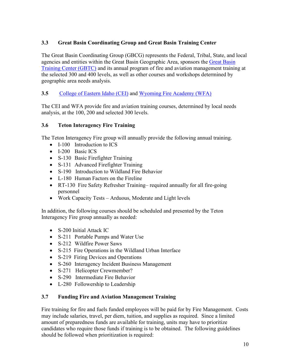# **3.3 Great Basin Coordinating Group and Great Basin Training Center**

The Great Basin Coordinating Group (GBCG) represents the Federal, Tribal, State, and local agencies and entities within the Great Basin Geographic Area, sponsors the [Great Basin](https://wildlandfirelearningportal.net/totara/reportbuilder/report.php?id=76https://wildlandfirelearningportal.net/totara/reportbuilder/report.php?id=76)  [Training Center](https://wildlandfirelearningportal.net/totara/reportbuilder/report.php?id=76https://wildlandfirelearningportal.net/totara/reportbuilder/report.php?id=76) (GBTC) and its annual program of fire and aviation management training at the selected 300 and 400 levels, as well as other courses and workshops determined by geographic area needs analysis.

# **3.5** [College of Eastern Idaho](https://fst.cei.edu/training.php) (CEI) and [Wyoming Fire Academy \(WFA\)](https://wsfm.wyo.gov/training/fire-academy)

The CEI and WFA provide fire and aviation training courses, determined by local needs analysis, at the 100, 200 and selected 300 levels.

#### **3.6 Teton Interagency Fire Training**

The Teton Interagency Fire group will annually provide the following annual training.

- I-100 Introduction to ICS
- I-200 Basic ICS
- S-130 Basic Firefighter Training
- S-131 Advanced Firefighter Training
- S-190 Introduction to Wildland Fire Behavior
- L-180 Human Factors on the Fireline
- RT-130 Fire Safety Refresher Training– required annually for all fire-going personnel
- Work Capacity Tests Arduous, Moderate and Light levels

In addition, the following courses should be scheduled and presented by the Teton Interagency Fire group annually as needed:

- S-200 Initial Attack IC
- S-211 Portable Pumps and Water Use
- S-212 Wildfire Power Saws
- S-215 Fire Operations in the Wildland Urban Interface
- S-219 Firing Devices and Operations
- S-260 Interagency Incident Business Management
- S-271 Helicopter Crewmember?
- S-290 Intermediate Fire Behavior
- L-280 Followership to Leadership

#### **3.7 Funding Fire and Aviation Management Training**

Fire training for fire and fuels funded employees will be paid for by Fire Management. Costs may include salaries, travel, per diem, tuition, and supplies as required. Since a limited amount of preparedness funds are available for training, units may have to prioritize candidates who require those funds if training is to be obtained. The following guidelines should be followed when prioritization is required: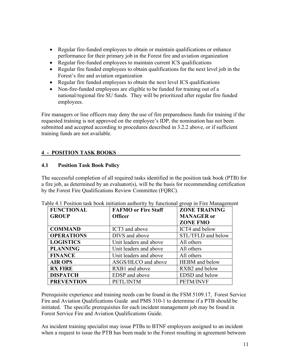- Regular fire-funded employees to obtain or maintain qualifications or enhance performance for their primary job in the Forest fire and aviation organization
- Regular fire-funded employees to maintain current ICS qualifications
- Regular fire funded employees to obtain qualifications for the next level job in the Forest's fire and aviation organization
- Regular fire funded employees to obtain the next level ICS qualifications
- Non-fire-funded employees are eligible to be funded for training out of a national/regional fire SU funds. They will be prioritized after regular fire funded employees.

Fire managers or line officers may deny the use of fire preparedness funds for training if the requested training is not approved on the employee's IDP, the nomination has not been submitted and accepted according to procedures described in 3.2.2 above, or if sufficient training funds are not available.

# **4 - POSITION TASK BOOKS**

#### **4.1 Position Task Book Policy**

The successful completion of all required tasks identified in the position task book (PTB) for a fire job, as determined by an evaluator(s), will be the basis for recommending certification by the Forest Fire Qualifications Review Committee (FQRC).

| <b>FUNCTIONAL</b> | <b>FAFMO</b> or Fire Staff | <b>ZONE TRAINING</b>  |
|-------------------|----------------------------|-----------------------|
| <b>GROUP</b>      | <b>Officer</b>             | <b>MANAGER</b> or     |
|                   |                            | <b>ZONE FMO</b>       |
| <b>COMMAND</b>    | ICT3 and above             | ICT4 and below        |
| <b>OPERATIONS</b> | DIVS and above             | STL/TFLD and below    |
| <b>LOGISTICS</b>  | Unit leaders and above     | All others            |
| <b>PLANNING</b>   | Unit leaders and above     | All others            |
| <b>FINANCE</b>    | Unit leaders and above     | All others            |
| <b>AIR OPS</b>    | ASGS/HLCO and above        | <b>HEBM</b> and below |
| <b>RX FIRE</b>    | RXB1 and above             | RXB2 and below        |
| <b>DISPATCH</b>   | EDSP and above             | EDSD and below        |
| <b>PREVENTION</b> | PETL/INTM                  | <b>PETM/INVF</b>      |

Table 4.1 Position task book initiation authority by functional group in Fire Management

Prerequisite experience and training needs can be found in the FSM 5109.17, Forest Service Fire and Aviation Qualifications Guide and PMS 310-1 to determine if a PTB should be initiated. The specific prerequisites for each incident management job may be found in Forest Service Fire and Aviation Qualifications Guide.

An incident training specialist may issue PTBs to BTNF employees assigned to an incident when a request to issue the PTB has been made to the Forest resulting in agreement between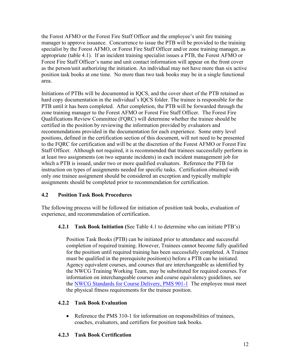the Forest AFMO or the Forest Fire Staff Officer and the employee's unit fire training manager to approve issuance. Concurrence to issue the PTB will be provided to the training specialist by the Forest AFMO, or Forest Fire Staff Officer and/or zone training manager, as appropriate (table 4.1). If an incident training specialist issues a PTB, the Forest AFMO or Forest Fire Staff Officer's name and unit contact information will appear on the front cover as the person/unit authorizing the initiation. An individual may not have more than six active position task books at one time. No more than two task books may be in a single functional area.

Initiations of PTBs will be documented in IQCS, and the cover sheet of the PTB retained as hard copy documentation in the individual's IQCS folder. The trainee is responsible for the PTB until it has been completed. After completion, the PTB will be forwarded through the zone training manager to the Forest AFMO or Forest Fire Staff Officer. The Forest Fire Qualifications Review Committee (FQRC) will determine whether the trainee should be certified in the position by reviewing the information provided by evaluators and recommendations provided in the documentation for each experience. Some entry level positions, defined in the certification section of this document, will not need to be presented to the FQRC for certification and will be at the discretion of the Forest AFMO or Forest Fire Staff Officer. Although not required, it is recommended that trainees successfully perform in at least two assignments (on two separate incidents) in each incident management job for which a PTB is issued, under two or more qualified evaluators. Reference the PTB for instruction on types of assignments needed for specific tasks. Certification obtained with only one trainee assignment should be considered an exception and typically multiple assignments should be completed prior to recommendation for certification.

# **4.2 Position Task Book Procedures**

The following process will be followed for initiation of position task books, evaluation of experience, and recommendation of certification.

**4.2.1 Task Book Initiation (**See Table 4.1 to determine who can initiate PTB's)

Position Task Books (PTB) can be initiated prior to attendance and successful completion of required training. However, Trainees cannot become fully qualified for the position until required training has been successfully completed. A Trainee must be qualified in the prerequisite position(s) before a PTB can be initiated. Agency equivalent courses, and courses that are interchangeable as identified by the NWCG Training Working Team, may be substituted for required courses. For information on interchangeable courses and course equivalency guidelines, see the [NWCG Standards for Course Delivery, PMS 901-1](https://www.nwcg.gov/publications/pms901-1) The employee must meet the physical fitness requirements for the trainee position.

# **4.2.2 Task Book Evaluation**

• Reference the PMS 310-1 for information on responsibilities of trainees, coaches, evaluators, and certifiers for position task books.

# **4.2.3 Task Book Certification**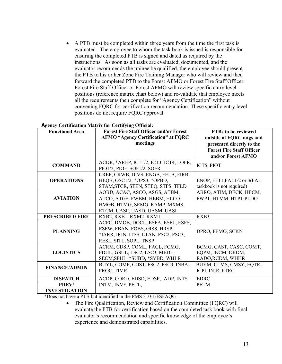• A PTB must be completed within three years from the time the first task is evaluated. The employee to whom the task book is issued is responsible for ensuring the completed PTB is signed and dated as required by the instructions. As soon as all tasks are evaluated, documented, and the evaluator recommends the trainee be qualified, the employee should present the PTB to his or her Zone Fire Training Manager who will review and then forward the completed PTB to the Forest AFMO or Forest Fire Staff Officer. Forest Fire Staff Officer or Forest AFMO will review specific entry level positions (reference matrix chart below) and re-validate that employee meets all the requirements then complete for "Agency Certification" without convening FQRC for certification recommendation. These specific entry level positions do not require FQRC approval.

#### **Agency Certification Matrix for Certifying Official:**

| <b>Functional Area</b>        | Agency ceruntation matrix for certifying official.<br><b>Forest Fire Staff Officer and/or Forest</b><br><b>AFMO "Agency Certification" at FQRC</b> | <b>PTBs to be reviewed</b><br>outside of FQRC mtgs and                              |  |
|-------------------------------|----------------------------------------------------------------------------------------------------------------------------------------------------|-------------------------------------------------------------------------------------|--|
|                               | meetings                                                                                                                                           | presented directly to the<br><b>Forest Fire Staff Officer</b><br>and/or Forest AFMO |  |
| <b>COMMAND</b>                | ACDR, *AREP, ICT1/2, ICT3, ICT4, LOFR,<br>PIO1/2, PIOF, SOF1/2, SOFR                                                                               | ICT5, PIOT                                                                          |  |
| <b>OPERATIONS</b>             | CREP, CRWB, DIVS, ENGB, FELB, FIRB,<br>HEQB, OSC1/2, *OPS3, *OPBD,<br>STAM, STCR, STEN, STEQ, STPS, TFLD                                           | ENOP, FFT1, FAL1/2 or 3(FAL<br>taskbook is not required)                            |  |
| <b>AVIATION</b>               | AOBD, ACAC, ASCO, ASGS, ATBM,<br>ATCO, ATGS, FWBM, HEBM, HLCO,<br>HMGB, HTMG, SEMG, RAMP, MXMS,<br>RTCM, UASP, UASD, UASM, UASL                    | ABRO, ATIM, DECK, HECM,<br>FWPT, HTMM, HTPT, PLDO                                   |  |
| <b>PRESCRIBED FIRE</b>        | RXB2, RXB1, RXM2, RXM1                                                                                                                             | RXB3                                                                                |  |
| <b>PLANNING</b>               | ACPC, DMOB, DOCL, ESFA, ESFL, ESFS,<br>ESFW, FBAN, FOBS, GISS, HRSP,<br>*IARR, IRIN, ITSS, LTAN, PSC2, PSC3,<br>RESL, SITL, SOPL, TNSP             | DPRO, FEMO, SCKN                                                                    |  |
| <b>LOGISTICS</b>              | ACRM, CDSP, COML, FACL, FCMG,<br>FDUL, GSUL, LSC2, LSC3, MEDL,<br>SECM, SPUL, *SUBD, *SVBD, WHLR                                                   | BCMG, CAST, CASC, COMT,<br>EQPM, INCM, ORDM,<br>RADO, RCDM, WHHR                    |  |
| <b>FINANCE/ADMIN</b>          | BUYL, COMP, COST, FSC2, FSC3, INBA,<br>PROC, TIME                                                                                                  | BUYM, CLMS, CMSY, EQTR,<br>ICPI, INJR, PTRC                                         |  |
| <b>DISPATCH</b>               | ACDP, CORD, EDSD, EDSP, IADP, INTS                                                                                                                 | <b>EDRC</b>                                                                         |  |
| PREV/<br><b>INVESTIGATION</b> | INTM, INVF, PETL,                                                                                                                                  | <b>PETM</b>                                                                         |  |

\*Does not have a PTB but identified in the PMS 310-1/FSFAQG

• The Fire Qualification, Review and Certification Committee (FQRC) will evaluate the PTB for certification based on the completed task book with final evaluator's recommendation and specific knowledge of the employee's experience and demonstrated capabilities.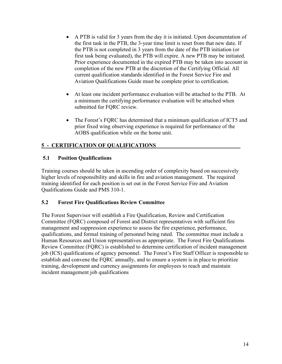- A PTB is valid for 3 years from the day it is initiated. Upon documentation of the first task in the PTB, the 3-year time limit is reset from that new date. If the PTB is not completed in 3 years from the date of the PTB initiation (or first task being evaluated), the PTB will expire. A new PTB may be initiated. Prior experience documented in the expired PTB may be taken into account in completion of the new PTB at the discretion of the Certifying Official. All current qualification standards identified in the Forest Service Fire and Aviation Qualifications Guide must be complete prior to certification.
- At least one incident performance evaluation will be attached to the PTB. At a minimum the certifying performance evaluation will be attached when submitted for FQRC review.
- The Forest's FQRC has determined that a minimum qualification of ICT5 and prior fixed wing observing experience is required for performance of the AOBS qualification while on the home unit.

# **5 - CERTIFICATION OF QUALIFICATIONS**

# **5.1 Position Qualifications**

Training courses should be taken in ascending order of complexity based on successively higher levels of responsibility and skills in fire and aviation management. The required training identified for each position is set out in the Forest Service Fire and Aviation Qualifications Guide and PMS 310-1.

# **5.2 Forest Fire Qualifications Review Committee**

The Forest Supervisor will establish a Fire Qualification, Review and Certification Committee (FQRC) composed of Forest and District representatives with sufficient fire management and suppression experience to assess the fire experience, performance, qualifications, and formal training of personnel being rated. The committee must include a Human Resources and Union representatives as appropriate. The Forest Fire Qualifications Review Committee (FQRC) is established to determine certification of incident management job (ICS) qualifications of agency personnel. The Forest's Fire Staff Officer is responsible to establish and convene the FQRC annually, and to ensure a system is in place to prioritize training, development and currency assignments for employees to reach and maintain incident management job qualifications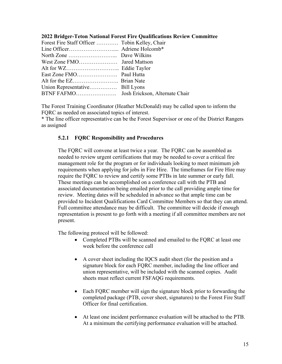| 2022 Bridger-Teton National Forest Fire Qualifications Review Committee |  |  |  |  |  |
|-------------------------------------------------------------------------|--|--|--|--|--|
|-------------------------------------------------------------------------|--|--|--|--|--|

| Forest Fire Staff Officer  Tobin Kelley, Chair |  |
|------------------------------------------------|--|
|                                                |  |
|                                                |  |
|                                                |  |
|                                                |  |
|                                                |  |
|                                                |  |
|                                                |  |
|                                                |  |
|                                                |  |

The Forest Training Coordinator (Heather McDonald) may be called upon to inform the FQRC as needed on associated topics of interest.

\* The line officer representative can be the Forest Supervisor or one of the District Rangers as assigned

#### **5.2.1 FQRC Responsibility and Procedures**

The FQRC will convene at least twice a year. The FQRC can be assembled as needed to review urgent certifications that may be needed to cover a critical fire management role for the program or for individuals looking to meet minimum job requirements when applying for jobs in Fire Hire. The timeframes for Fire Hire may require the FQRC to review and certify some PTBs in late summer or early fall. These meetings can be accomplished on a conference call with the PTB and associated documentation being emailed prior to the call providing ample time for review. Meeting dates will be scheduled in advance so that ample time can be provided to Incident Qualifications Card Committee Members so that they can attend. Full committee attendance may be difficult. The committee will decide if enough representation is present to go forth with a meeting if all committee members are not present.

The following protocol will be followed:

- Completed PTBs will be scanned and emailed to the FQRC at least one week before the conference call
- A cover sheet including the IQCS audit sheet (for the position and a signature block for each FQRC member, including the line officer and union representative, will be included with the scanned copies. Audit sheets must reflect current FSFAQG requirements.
- Each FQRC member will sign the signature block prior to forwarding the completed package (PTB, cover sheet, signatures) to the Forest Fire Staff Officer for final certification.
- At least one incident performance evaluation will be attached to the PTB. At a minimum the certifying performance evaluation will be attached.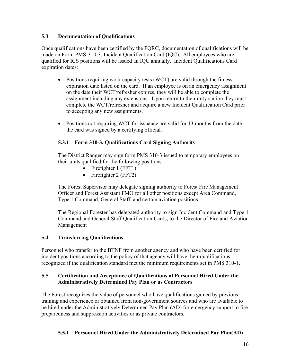#### **5.3 Documentation of Qualifications**

Once qualifications have been certified by the FQRC, documentation of qualifications will be made on Form PMS-310-3, Incident Qualification Card (IQC). All employees who are qualified for ICS positions will be issued an IQC annually. Incident Qualifications Card expiration dates:

- Positions requiring work capacity tests (WCT) are valid through the fitness expiration date listed on the card. If an employee is on an emergency assignment on the date their WCT/refresher expires, they will be able to complete the assignment including any extensions. Upon return to their duty station they must complete the WCT/refresher and acquire a new Incident Qualification Card prior to accepting any new assignments.
- Positions not requiring WCT for issuance are valid for 13 months from the date the card was signed by a certifying official.

# **5.3.1 Form 310-3, Qualifications Card Signing Authority**

The District Ranger may sign form PMS 310-3 issued to temporary employees on their units qualified for the following positions.

- Firefighter 1 (FFT1)
- Firefighter 2 (FFT2)

The Forest Supervisor may delegate signing authority to Forest Fire Management Officer and Forest Assistant FMO for all other positions except Area Command, Type 1 Command, General Staff, and certain aviation positions.

The Regional Forester has delegated authority to sign Incident Command and Type 1 Command and General Staff Qualification Cards, to the Director of Fire and Aviation Management

# **5.4 Transferring Qualifications**

Personnel who transfer to the BTNF from another agency and who have been certified for incident positions according to the policy of that agency will have their qualifications recognized if the qualification standard met the minimum requirements set in PMS 310-1.

#### **5.5 Certification and Acceptance of Qualifications of Personnel Hired Under the Administratively Determined Pay Plan or as Contractors**

The Forest recognizes the value of personnel who have qualifications gained by previous training and experience or obtained from non-government sources and who are available to be hired under the Administratively Determined Pay Plan (AD) for emergency support to fire preparedness and suppression activities or as private contractors.

# **5.5.1 Personnel Hired Under the Administratively Determined Pay Plan(AD)**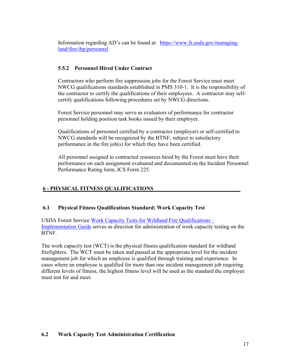Information regarding AD's can be found at: [https://www.fs.usda.gov/managing](https://www.fs.usda.gov/managing-land/fire/ibp/personnel)[land/fire/ibp/personnel](https://www.fs.usda.gov/managing-land/fire/ibp/personnel)

# **5.5.2 Personnel Hired Under Contract**

Contractors who perform fire suppression jobs for the Forest Service must meet NWCG qualifications standards established in PMS 310-1. It is the responsibility of the contractor to certify the qualifications of their employees. A contractor may selfcertify qualifications following procedures set by NWCG directions.

Forest Service personnel may serve as evaluators of performance for contractor personnel holding position task books issued by their employer.

Qualifications of personnel certified by a contractor (employer) or self-certified to NWCG standards will be recognized by the BTNF, subject to satisfactory performance in the fire job(s) for which they have been certified.

All personnel assigned to contracted resources hired by the Forest must have their performance on each assignment evaluated and documented on the Incident Personnel Performance Rating form, ICS Form 225.

# **6 - PHYSICAL FITNESS QUALIFICATIONS**

# **6.1 Physical Fitness Qualifications Standard; Work Capacity Test**

USDA Forest Service [Work Capacity Tests for Wildland Fire Qualifications –](https://www.fs.usda.gov/sites/default/files/media_wysiwyg/2015_final_wct_implementation_guide.pdf) [Implementation Guide](https://www.fs.usda.gov/sites/default/files/media_wysiwyg/2015_final_wct_implementation_guide.pdf) serves as direction for administration of work capacity testing on the BTNF.

The work capacity test (WCT) is the physical fitness qualification standard for wildland firefighters. The WCT must be taken and passed at the appropriate level for the incident management job for which an employee is qualified through training and experience. In cases where an employee is qualified for more than one incident management job requiring different levels of fitness, the highest fitness level will be used as the standard the employee must test for and meet.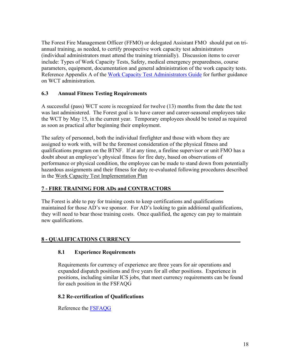The Forest Fire Management Officer (FFMO) or delegated Assistant FMO should put on triannual training, as needed, to certify prospective work capacity test administrators (individual administrators must attend the training triennially). Discussion items to cover include: Types of Work Capacity Tests, Safety, medical emergency preparedness, course parameters, equipment, documentation and general administration of the work capacity tests. Reference Appendix A of the [Work Capacity Test Administrators Guide](https://www.fs.usda.gov/managing-land/fire/safety/wct) for further guidance on WCT administration.

#### **6.3 Annual Fitness Testing Requirements**

A successful (pass) WCT score is recognized for twelve (13) months from the date the test was last administered. The Forest goal is to have career and career-seasonal employees take the WCT by May 15, in the current year. Temporary employees should be tested as required as soon as practical after beginning their employment.

The safety of personnel, both the individual firefighter and those with whom they are assigned to work with, will be the foremost consideration of the physical fitness and qualifications program on the BTNF. If at any time, a fireline supervisor or unit FMO has a doubt about an employee's physical fitness for fire duty, based on observations of performance or physical condition, the employee can be made to stand down from potentially hazardous assignments and their fitness for duty re-evaluated following procedures described in the Work Capacity Test Implementation Plan

#### **7 - FIRE TRAINING FOR ADs and CONTRACTORS**

The Forest is able to pay for training costs to keep certifications and qualifications maintained for those AD's we sponsor. For AD's looking to gain additional qualifications, they will need to bear those training costs. Once qualified, the agency can pay to maintain new qualifications.

#### **8 - QUALIFICATIONS CURRENCY**

#### **8.1 Experience Requirements**

Requirements for currency of experience are three years for air operations and expanded dispatch positions and five years for all other positions. Experience in positions, including similar ICS jobs, that meet currency requirements can be found for each position in the FSFAQG

#### **8.2 Re-certification of Qualifications**

Reference the [FSFAQG](https://www.fs.usda.gov/managing-land/fire/publications)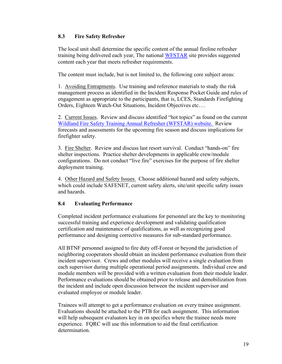#### **8.3 Fire Safety Refresher**

The local unit shall determine the specific content of the annual fireline refresher training being delivered each year, The national [WFSTAR](https://www.nwcg.gov/publications/training-courses/rt-130) site provides suggested content each year that meets refresher requirements.

The content must include, but is not limited to, the following core subject areas:

1. Avoiding Entrapments.Use training and reference materials to study the risk management process as identified in the Incident Response Pocket Guide and rules of engagement as appropriate to the participants, that is, LCES, Standards Firefighting Orders, Eighteen Watch-Out Situations, Incident Objectives etc….

2. Current Issues. Review and discuss identified "hot topics" as found on the current [Wildland Fire Safety Training Annual Refresher \(WFSTAR\) website.](https://www.nwcg.gov/publications/training-courses/rt-130) Review forecasts and assessments for the upcoming fire season and discuss implications for firefighter safety.

3. Fire Shelter. Review and discuss last resort survival. Conduct "hands-on" fire shelter inspections. Practice shelter developments in applicable crew/module configurations. Do not conduct "live fire" exercises for the purpose of fire shelter deployment training.

4. Other Hazard and Safety Issues. Choose additional hazard and safety subjects, which could include SAFENET, current safety alerts, site/unit specific safety issues and hazards.

#### **8.4 Evaluating Performance**

Completed incident performance evaluations for personnel are the key to monitoring successful training and experience development and validating qualification certification and maintenance of qualifications, as well as recognizing good performance and designing corrective measures for sub-standard performance.

All BTNF personnel assigned to fire duty off-Forest or beyond the jurisdiction of neighboring cooperators should obtain an incident performance evaluation from their incident supervisor. Crews and other modules will receive a single evaluation from each supervisor during multiple operational period assignments. Individual crew and module members will be provided with a written evaluation from their module leader. Performance evaluations should be obtained prior to release and demobilization from the incident and include open discussion between the incident supervisor and evaluated employee or module leader.

Trainees will attempt to get a performance evaluation on every trainee assignment. Evaluations should be attached to the PTB for each assignment. This information will help subsequent evaluators key in on specifics where the trainee needs more experience. FQRC will use this information to aid the final certification determination.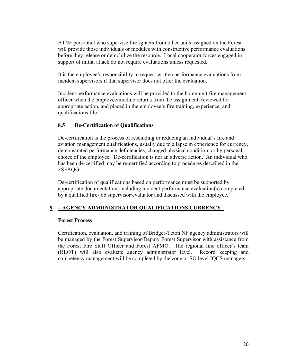BTNF personnel who supervise firefighters from other units assigned on the Forest will provide those individuals or modules with constructive performance evaluations before they release or demobilize the resource. Local cooperator forces engaged in support of initial attack do not require evaluations unless requested.

It is the employee's responsibility to request written performance evaluations from incident supervisors if that supervisor does not offer the evaluation.

Incident performance evaluations will be provided to the home-unit fire management officer when the employee/module returns from the assignment, reviewed for appropriate action, and placed in the employee's fire training, experience, and qualifications file.

#### **8.5 De-Certification of Qualifications**

De-certification is the process of rescinding or reducing an individual's fire and aviation management qualifications, usually due to a lapse in experience for currency, demonstrated performance deficiencies, changed physical condition, or by personal choice of the employee. De-certification is not an adverse action. An individual who has been de-certified may be re-certified according to procedures described in the FSFAQG

De-certification of qualifications based on performance must be supported by appropriate documentation, including incident performance evaluation(s) completed by a qualified fire-job supervisor/evaluator and discussed with the employee.

# **9 – AGENCY ADMIINISTRATOR QUALIFICATIONS CURRENCY**

#### **Forest Process**

Certification, evaluation, and training of Bridger-Teton NF agency administrators will be managed by the Forest Supervisor/Deputy Forest Supervisor with assistance from the Forest Fire Staff Officer and Forest AFMO. The regional line officer's team (RLOT) will also evaluate agency administrator level. Record keeping and competency management will be completed by the zone or SO level IQCS managers.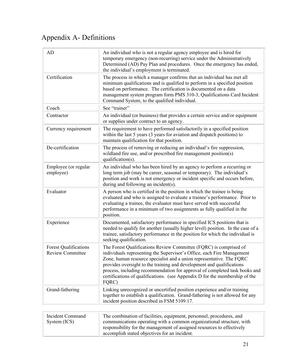# Appendix A- Definitions

| AD                                               | An individual who is not a regular agency employee and is hired for<br>temporary emergency (non-recurring) service under the Administratively<br>Determined (AD) Pay Plan and procedures. Once the emergency has ended,<br>the individual's employment is terminated.                                                                                                                                                                                              |
|--------------------------------------------------|--------------------------------------------------------------------------------------------------------------------------------------------------------------------------------------------------------------------------------------------------------------------------------------------------------------------------------------------------------------------------------------------------------------------------------------------------------------------|
| Certification                                    | The process in which a manager confirms that an individual has met all<br>minimum qualifications and is qualified to perform in a specified position<br>based on performance. The certification is documented on a data<br>management system program form PMS 310-3, Qualifications Card Incident<br>Command System, to the qualified individual.                                                                                                                  |
| Coach                                            | See "trainer"                                                                                                                                                                                                                                                                                                                                                                                                                                                      |
| Contractor                                       | An individual (or business) that provides a certain service and/or equipment<br>or supplies under contract to an agency.                                                                                                                                                                                                                                                                                                                                           |
| Currency requirement                             | The requirement to have performed satisfactorily in a specified position<br>within the last 5 years (3 years for aviation and dispatch positions) to<br>maintain qualification for that position.                                                                                                                                                                                                                                                                  |
| De-certification                                 | The process of removing or reducing an individual's fire suppression,<br>wildland fire use, and/or prescribed fire management position(s)<br>qualification(s).                                                                                                                                                                                                                                                                                                     |
| Employee (or regular<br>employee)                | An individual who has been hired by an agency to perform a recurring or<br>long term job (may be career, seasonal or temporary). The individual's<br>position and work is not emergency or incident specific and occurs before,<br>during and following an incident(s).                                                                                                                                                                                            |
| Evaluator                                        | A person who is certified in the position in which the trainee is being<br>evaluated and who is assigned to evaluate a trainee's performance. Prior to<br>evaluating a trainee, the evaluator must have served with successful<br>performance in a minimum of two assignments as fully qualified in the<br>position.                                                                                                                                               |
| Experience                                       | Documented, satisfactory performance in specified ICS positions that is<br>needed to qualify for another (usually higher level) position. In the case of a<br>trainee, satisfactory performance in the position for which the individual is<br>seeking qualification.                                                                                                                                                                                              |
| <b>Forest Qualifications</b><br>Review Committee | The Forest Qualifications Review Committee (FQRC) is comprised of<br>individuals representing the Supervisor's Office, each Fire Management<br>Zone, human resource specialist and a union representative. The FQRC<br>provides oversight to the training and development and qualifications<br>process, including recommendation for approval of completed task books and<br>certifications of qualifications. (see Appendix D for the membership of the<br>FQRC) |
| Grand-fathering                                  | Linking unrecognized or uncertified position experience and/or training<br>together to establish a qualification. Grand-fathering is not allowed for any<br>incident position described in FSM 5109.17.                                                                                                                                                                                                                                                            |
|                                                  |                                                                                                                                                                                                                                                                                                                                                                                                                                                                    |
|                                                  |                                                                                                                                                                                                                                                                                                                                                                                                                                                                    |

| Incident Command | The combination of facilities, equipment, personnel, procedures, and   |
|------------------|------------------------------------------------------------------------|
| System (ICS)     | communications operating with a common organizational structure, with  |
|                  | responsibility for the management of assigned resources to effectively |
|                  | accomplish stated objectives for an incident.                          |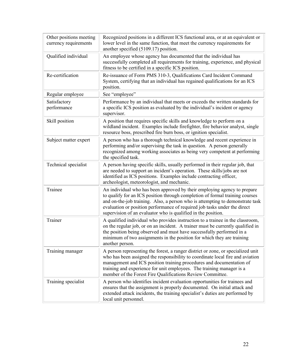| Other positions meeting<br>currency requirements | Recognized positions in a different ICS functional area, or at an equivalent or<br>lower level in the same function, that meet the currency requirements for<br>another specified (5109.17) position.                                                                                                                                                                                   |
|--------------------------------------------------|-----------------------------------------------------------------------------------------------------------------------------------------------------------------------------------------------------------------------------------------------------------------------------------------------------------------------------------------------------------------------------------------|
| Qualified individual                             | An employee whose agency has documented that the individual has<br>successfully completed all requirements for training, experience, and physical<br>fitness to be certified in a specific ICS position.                                                                                                                                                                                |
| Re-certification                                 | Re-issuance of Form PMS 310-3, Qualifications Card Incident Command<br>System, certifying that an individual has regained qualifications for an ICS<br>position.                                                                                                                                                                                                                        |
| Regular employee                                 | See "employee"                                                                                                                                                                                                                                                                                                                                                                          |
| Satisfactory<br>performance                      | Performance by an individual that meets or exceeds the written standards for<br>a specific ICS position as evaluated by the individual's incident or agency<br>supervisor.                                                                                                                                                                                                              |
| Skill position                                   | A position that requires specific skills and knowledge to perform on a<br>wildland incident. Examples include firefighter, fire behavior analyst, single<br>resource boss, prescribed fire burn boss, or ignition specialist.                                                                                                                                                           |
| Subject matter expert                            | A person who has a thorough technical knowledge and recent experience in<br>performing and/or supervising the task in question. A person generally<br>recognized among working associates as being very competent at performing<br>the specified task.                                                                                                                                  |
| Technical specialist                             | A person having specific skills, usually performed in their regular job, that<br>are needed to support an incident's operation. These skills/jobs are not<br>identified as ICS positions. Examples include contracting officer,<br>archeologist, meteorologist, and mechanic.                                                                                                           |
| Trainee                                          | An individual who has been approved by their employing agency to prepare<br>to qualify for an ICS position through completion of formal training courses<br>and on-the-job training. Also, a person who is attempting to demonstrate task<br>evaluation or position performance of required job tasks under the direct<br>supervision of an evaluator who is qualified in the position. |
| Trainer                                          | A qualified individual who provides instruction to a trainee in the classroom,<br>on the regular job, or on an incident. A trainer must be currently qualified in<br>the position being observed and must have successfully performed in a<br>minimum of two assignments in the position for which they are training<br>another person.                                                 |
| Training manager                                 | A person representing the forest, a ranger district or zone, or specialized unit<br>who has been assigned the responsibility to coordinate local fire and aviation<br>management and ICS position training procedures and documentation of<br>training and experience for unit employees. The training manager is a<br>member of the Forest Fire Qualifications Review Committee.       |
| Training specialist                              | A person who identifies incident evaluation opportunities for trainees and<br>ensures that the assignment is properly documented. On initial attack and<br>extended attack incidents, the training specialist's duties are performed by<br>local unit personnel.                                                                                                                        |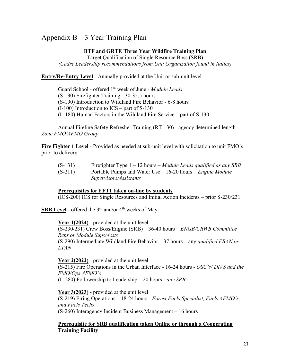# Appendix B – 3 Year Training Plan

#### **BTF and GRTE Three Year Wildfire Training Plan**

Target Qualification of Single Resource Boss (SRB) *(Cadre Leadership recommendations from Unit Organization found in Italics)* 

**Entry/Re-Entry Level** - Annually provided at the Unit or sub-unit level

Guard School - offered 1st week of June - *Module Leads* (S-130) Firefighter Training - 30-35.5 hours (S-190) Introduction to Wildland Fire Behavior - 6-8 hours (I-100) Introduction to ICS – part of S-130 (L-180) Human Factors in the Wildland Fire Service – part of S-130

Annual Fireline Safety Refresher Training (RT-130) - agency determined length – *Zone FMO/AFMO Group*

**Fire Fighter 1 Level** - Provided as needed at sub-unit level with solicitation to unit FMO's prior to delivery

- (S-131) Firefighter Type 1 12 hours *Module Leads qualified as any SRB*
- (S-211) Portable Pumps and Water Use 16-20 hours *Engine Module Supervisors/Assistants*

#### **Prerequisites for FFT1 taken on-line by students**

(ICS-200) ICS for Single Resources and Initial Action Incidents – prior S-230/231

**SRB Level** - offered the  $3<sup>rd</sup>$  and/or  $4<sup>th</sup>$  weeks of May:

**Year 1(2024)** - provided at the unit level (S-230/231) Crew Boss/Engine (SRB) – 36-40 hours – *ENGB/CRWB Committee Reps or Module Sups/Assts* (S-290) Intermediate Wildland Fire Behavior – 37 hours – any *qualified FBAN or LTAN*

**Year 2(2022)** - provided at the unit level (S-215) Fire Operations in the Urban Interface - 16-24 hours - *OSC's/ DIVS and the FMO/Ops AFMO's* (L-280) Followership to Leadership – 20 hours - *any SRB*

**Year 3(2023)** - provided at the unit level (S-219) Firing Operations – 18-24 hours - *Forest Fuels Specialist, Fuels AFMO's, and Fuels Techs* (S-260) Interagency Incident Business Management – 16 hours

#### **Prerequisite for SRB qualification taken Online or through a Cooperating Training Facility**